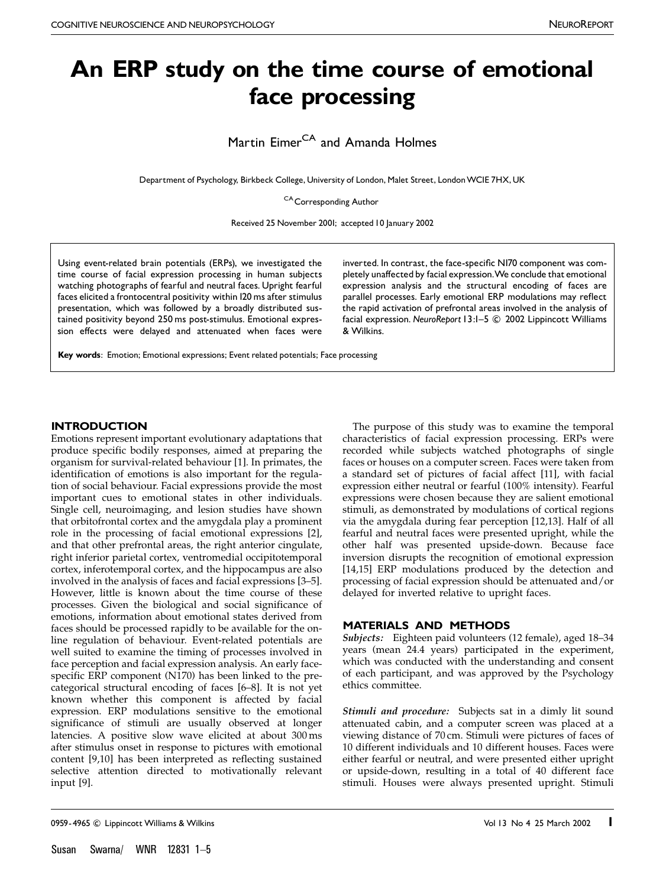# An ERP study on the time course of emotional face processing

Martin Eimer<sup>CA</sup> and Amanda Holmes

Department of Psychology, Birkbeck College, University of London, Malet Street, London WCIE 7HX, UK

CA Corresponding Author

Received 25 November 2001; accepted 10 January 2002

Using event-related brain potentials (ERPs), we investigated the time course of facial expression processing in human subjects watching photographs of fearful and neutral faces. Upright fearful faces elicited a frontocentral positivity within 120 ms after stimulus presentation, which was followed by a broadly distributed sustained positivity beyond 250 ms post-stimulus. Emotional expression effects were delayed and attenuated when faces were

inverted. In contrast, the face-specific NI70 component was completely unaffected by facial expression. We conclude that emotional expression analysis and the structural encoding of faces are parallel processes. Early emotional ERP modulations may reflect the rapid activation of prefrontal areas involved in the analysis of facial expression. NeuroReport 13:1-5 C 2002 Lippincott Williams & Wilkins.

Key words: Emotion; Emotional expressions; Event related potentials; Face processing

# **INTRODUCTION**

Emotions represent important evolutionary adaptations that produce specific bodily responses, aimed at preparing the organism for survival-related behaviour [1]. In primates, the identification of emotions is also important for the regulation of social behaviour. Facial expressions provide the most important cues to emotional states in other individuals. Single cell, neuroimaging, and lesion studies have shown that orbitofrontal cortex and the amygdala play a prominent role in the processing of facial emotional expressions [2], and that other prefrontal areas, the right anterior cingulate, right inferior parietal cortex, ventromedial occipitotemporal cortex, inferotemporal cortex, and the hippocampus are also involved in the analysis of faces and facial expressions [3–5]. However, little is known about the time course of these processes. Given the biological and social significance of emotions, information about emotional states derived from faces should be processed rapidly to be available for the online regulation of behaviour. Event-related potentials are well suited to examine the timing of processes involved in face perception and facial expression analysis. An early facespecific ERP component (N170) has been linked to the precategorical structural encoding of faces [6–8]. It is not yet known whether this component is affected by facial expression. ERP modulations sensitive to the emotional significance of stimuli are usually observed at longer latencies. A positive slow wave elicited at about 300 ms after stimulus onset in response to pictures with emotional content [9,10] has been interpreted as reflecting sustained selective attention directed to motivationally relevant input [9].

The purpose of this study was to examine the temporal characteristics of facial expression processing. ERPs were recorded while subjects watched photographs of single faces or houses on a computer screen. Faces were taken from a standard set of pictures of facial affect [11], with facial expression either neutral or fearful (100% intensity). Fearful expressions were chosen because they are salient emotional stimuli, as demonstrated by modulations of cortical regions via the amygdala during fear perception [12,13]. Half of all fearful and neutral faces were presented upright, while the other half was presented upside-down. Because face inversion disrupts the recognition of emotional expression [14,15] ERP modulations produced by the detection and processing of facial expression should be attenuated and/or delayed for inverted relative to upright faces.

# MATERIALS AND METHODS

Subjects: Eighteen paid volunteers (12 female), aged 18–34 years (mean 24.4 years) participated in the experiment, which was conducted with the understanding and consent of each participant, and was approved by the Psychology ethics committee.

Stimuli and procedure: Subjects sat in a dimly lit sound attenuated cabin, and a computer screen was placed at a viewing distance of 70 cm. Stimuli were pictures of faces of 10 different individuals and 10 different houses. Faces were either fearful or neutral, and were presented either upright or upside-down, resulting in a total of 40 different face stimuli. Houses were always presented upright. Stimuli

<sup>0959-4965 ©</sup> Lippincott Williams & Wilkins **Volume 2002** 13 No 4 25 March 2002 1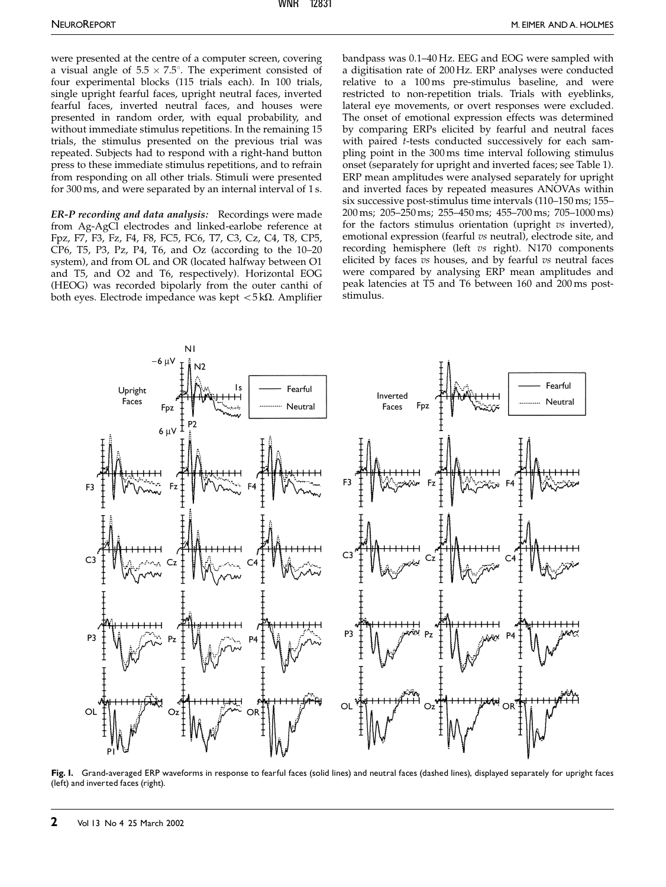were presented at the centre of a computer screen, covering a visual angle of  $5.5 \times 7.5^{\circ}$ . The experiment consisted of four experimental blocks (115 trials each). In 100 trials, single upright fearful faces, upright neutral faces, inverted fearful faces, inverted neutral faces, and houses were presented in random order, with equal probability, and without immediate stimulus repetitions. In the remaining 15 trials, the stimulus presented on the previous trial was repeated. Subjects had to respond with a right-hand button press to these immediate stimulus repetitions, and to refrain from responding on all other trials. Stimuli were presented for 300 ms, and were separated by an internal interval of 1 s.

ER-P recording and data analysis: Recordings were made from Ag-AgCl electrodes and linked-earlobe reference at Fpz, F7, F3, Fz, F4, F8, FC5, FC6, T7, C3, Cz, C4, T8, CP5, CP6, T5, P3, Pz, P4, T6, and Oz (according to the 10–20 system), and from OL and OR (located halfway between O1 and T5, and O2 and T6, respectively). Horizontal EOG (HEOG) was recorded bipolarly from the outer canthi of both eyes. Electrode impedance was kept  $<$  5 k $\Omega$ . Amplifier bandpass was 0.1–40 Hz. EEG and EOG were sampled with a digitisation rate of 200 Hz. ERP analyses were conducted relative to a 100 ms pre-stimulus baseline, and were restricted to non-repetition trials. Trials with eyeblinks, lateral eye movements, or overt responses were excluded. The onset of emotional expression effects was determined by comparing ERPs elicited by fearful and neutral faces with paired *t*-tests conducted successively for each sampling point in the 300 ms time interval following stimulus onset (separately for upright and inverted faces; see Table 1). ERP mean amplitudes were analysed separately for upright and inverted faces by repeated measures ANOVAs within six successive post-stimulus time intervals (110–150 ms; 155– 200 ms; 205–250 ms; 255–450 ms; 455–700 ms; 705–1000 ms) for the factors stimulus orientation (upright vs inverted), emotional expression (fearful vs neutral), electrode site, and recording hemisphere (left vs right). N170 components elicited by faces  $vs$  houses, and by fearful  $vs$  neutral faces were compared by analysing ERP mean amplitudes and peak latencies at T5 and T6 between 160 and 200 ms poststimulus.



Fig. I. Grand-averaged ERP waveforms in response to fearful faces (solid lines) and neutral faces (dashed lines), displayed separately for upright faces (left) and inverted faces (right).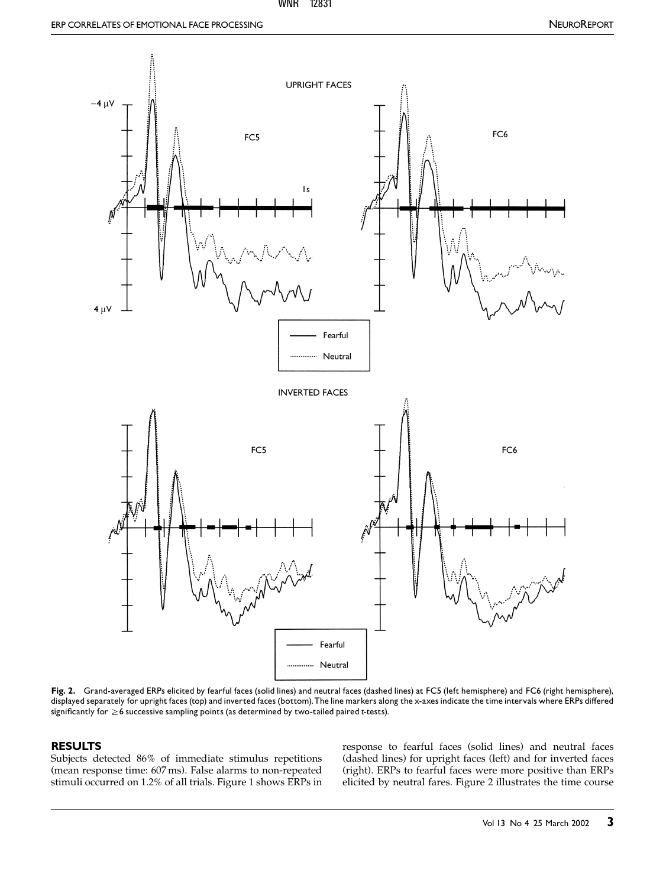#### WNR 12831



Fig. 2. Grand-averaged ERPs elicited by fearful faces (solid lines) and neutral faces (dashed lines) at FC5 (left hemisphere) and FC6 (right hemisphere), displayed separately for upright faces (top) and inverted faces (bottom). The line markers along the x-axes indicate the time intervals where ERPs differed significantly for  $\geq$  6 successive sampling points (as determined by two-tailed paired t-tests).

# RESULTS

Subjects detected 86% of immediate stimulus repetitions (mean response time: 607 ms). False alarms to non-repeated stimuli occurred on 1.2% of all trials. Figure 1 shows ERPs in response to fearful faces (solid lines) and neutral faces (dashed lines) for upright faces (left) and for inverted faces (right). ERPs to fearful faces were more positive than ERPs elicited by neutral fares. Figure 2 illustrates the time course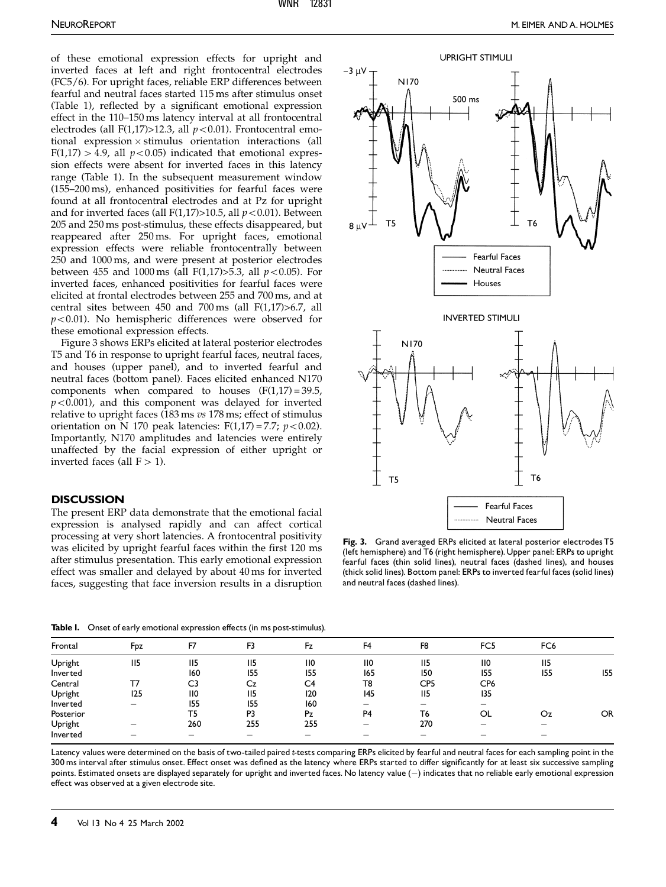of these emotional expression effects for upright and inverted faces at left and right frontocentral electrodes (FC5/6). For upright faces, reliable ERP differences between fearful and neutral faces started 115 ms after stimulus onset (Table 1), reflected by a significant emotional expression effect in the 110–150 ms latency interval at all frontocentral electrodes (all F(1,17)>12.3, all  $p < 0.01$ ). Frontocentral emo $tional$  expression  $\times$  stimulus orientation interactions (all  $F(1,17) > 4.9$ , all  $p < 0.05$ ) indicated that emotional expression effects were absent for inverted faces in this latency range (Table 1). In the subsequent measurement window (155–200 ms), enhanced positivities for fearful faces were found at all frontocentral electrodes and at Pz for upright and for inverted faces (all  $F(1,17)$ >10.5, all  $p < 0.01$ ). Between 205 and 250 ms post-stimulus, these effects disappeared, but reappeared after 250 ms. For upright faces, emotional expression effects were reliable frontocentrally between 250 and 1000 ms, and were present at posterior electrodes between 455 and 1000 ms (all F(1,17) $>$ 5.3, all  $p$  < 0.05). For inverted faces, enhanced positivities for fearful faces were elicited at frontal electrodes between 255 and 700 ms, and at central sites between 450 and 700 ms (all F(1,17)>6.7, all  $p<0.01$ ). No hemispheric differences were observed for these emotional expression effects.

Figure 3 shows ERPs elicited at lateral posterior electrodes T5 and T6 in response to upright fearful faces, neutral faces, and houses (upper panel), and to inverted fearful and neutral faces (bottom panel). Faces elicited enhanced N170 components when compared to houses  $(F(1,17) = 39.5,$  $p<0.001$ ), and this component was delayed for inverted relative to upright faces (183 ms vs 178 ms; effect of stimulus orientation on N 170 peak latencies:  $F(1,17) = 7.7$ ;  $p < 0.02$ ). Importantly, N170 amplitudes and latencies were entirely unaffected by the facial expression of either upright or inverted faces (all  $F > 1$ ).

### **DISCUSSION**

The present ERP data demonstrate that the emotional facial expression is analysed rapidly and can affect cortical processing at very short latencies. A frontocentral positivity was elicited by upright fearful faces within the first 120 ms after stimulus presentation. This early emotional expression effect was smaller and delayed by about 40 ms for inverted faces, suggesting that face inversion results in a disruption



Fig. 3. Grand averaged ERPs elicited at lateral posterior electrodes T5 (left hemisphere) and T6 (right hemisphere).Upper panel: ERPs to upright fearful faces (thin solid lines), neutral faces (dashed lines), and houses (thick solid lines). Bottom panel: ERPs to inverted fearful faces (solid lines) and neutral faces (dashed lines).

Table I. Onset of early emotional expression effects (in ms post-stimulus).

| Frontal   | Fpz                      | F7               | F <sub>3</sub>  | Fz               | F <sub>4</sub>   | F <sub>8</sub> | FC <sub>5</sub>          | FC <sub>6</sub>          |           |
|-----------|--------------------------|------------------|-----------------|------------------|------------------|----------------|--------------------------|--------------------------|-----------|
| Upright   | II <sub>5</sub>          | 115              | II <sub>5</sub> | $\overline{110}$ | $\overline{110}$ | 115            | $\overline{110}$         | II <sub>5</sub>          |           |
| Inverted  |                          | 160              | 155             | <b>I55</b>       | 165              | 150            | 155                      | <b>I55</b>               | 155       |
| Central   | T7                       | C <sub>3</sub>   | Cz              | C4               | T8               | CP5            | CP <sub>6</sub>          |                          |           |
| Upright   | 125                      | $\overline{110}$ | II <sub>5</sub> | 120              | 145              | 115            | 135                      |                          |           |
| Inverted  | $\overline{\phantom{0}}$ | 155              | 155             | 160              | —                | —              | $\overline{\phantom{0}}$ |                          |           |
| Posterior |                          | T5               | P3              | Pz               | P <sub>4</sub>   | T6             | OL                       | Oz.                      | <b>OR</b> |
| Upright   |                          | 260              | 255             | 255              |                  | 270            |                          |                          |           |
| Inverted  |                          |                  | —               | —                |                  | $-$            | $\overline{\phantom{0}}$ | $\overline{\phantom{0}}$ |           |

Latency values were determined on the basis of two-tailed paired t-tests comparing ERPs elicited by fearful and neutral faces for each sampling point in the 300 ms interval after stimulus onset. Effect onset was defined as the latency where ERPs started to differ significantly for at least six successive sampling points. Estimated onsets are displayed separately for upright and inverted faces. No latency value (-) indicates that no reliable early emotional expression effect was observed at a given electrode site.